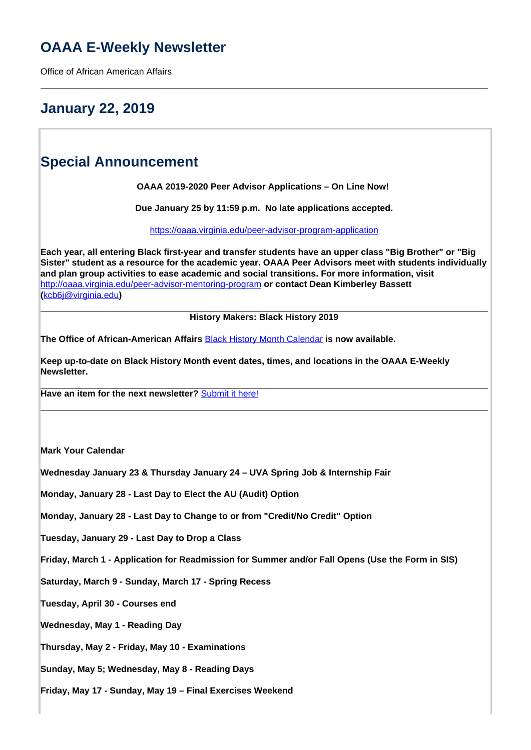# **OAAA E-Weekly Newsletter**

Office of African American Affairs

## **January 22, 2019**

### **Special Announcement**

**OAAA 2019-2020 Peer Advisor Applications – On Line Now!** 

**Due January 25 by 11:59 p.m. No late applications accepted.**

<https://oaaa.virginia.edu/peer-advisor-program-application>

**Each year, all entering Black first-year and transfer students have an upper class "Big Brother" or "Big Sister" student as a resource for the academic year. OAAA Peer Advisors meet with students individually and plan group activities to ease academic and social transitions. For more information, visit**  http://oaaa.virginia.edu/peer-advisor-mentoring-program **or contact Dean Kimberley Bassett (**kcb6j@virginia.edu**)**

**History Makers: Black History 2019**

**The Office of African-American Affairs** Black History Month Calendar **is now available.** 

**Keep up-to-date on Black History Month event dates, times, and locations in the OAAA E-Weekly Newsletter.** 

**Have an item for the next newsletter?** Submit it here!

**Mark Your Calendar**

**Wednesday January 23 & Thursday January 24 – UVA Spring Job & Internship Fair**

**Monday, January 28 - Last Day to Elect the AU (Audit) Option**

**Monday, January 28 - Last Day to Change to or from "Credit/No Credit" Option**

**Tuesday, January 29 - Last Day to Drop a Class**

**Friday, March 1 - Application for Readmission for Summer and/or Fall Opens (Use the Form in SIS)**

**Saturday, March 9 - Sunday, March 17 - Spring Recess** 

**Tuesday, April 30 - Courses end**

**Wednesday, May 1 - Reading Day** 

**Thursday, May 2 - Friday, May 10 - Examinations**

**Sunday, May 5; Wednesday, May 8 - Reading Days** 

**Friday, May 17 - Sunday, May 19 – Final Exercises Weekend**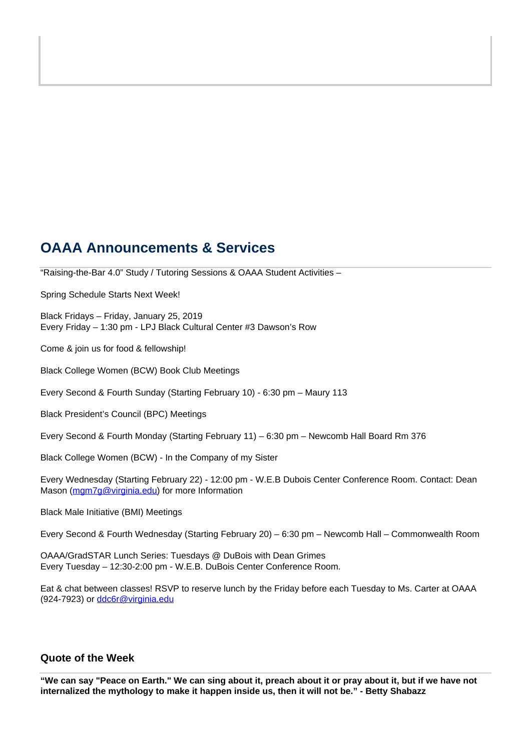### **OAAA Announcements & Services**

"Raising-the-Bar 4.0" Study / Tutoring Sessions & OAAA Student Activities –

Spring Schedule Starts Next Week!

Black Fridays – Friday, January 25, 2019 Every Friday – 1:30 pm - LPJ Black Cultural Center #3 Dawson's Row

Come & join us for food & fellowship!

Black College Women (BCW) Book Club Meetings

Every Second & Fourth Sunday (Starting February 10) - 6:30 pm – Maury 113

Black President's Council (BPC) Meetings

Every Second & Fourth Monday (Starting February 11) – 6:30 pm – Newcomb Hall Board Rm 376

Black College Women (BCW) - In the Company of my Sister

Every Wednesday (Starting February 22) - 12:00 pm - W.E.B Dubois Center Conference Room. Contact: Dean Mason (mgm7g@virginia.edu) for more Information

Black Male Initiative (BMI) Meetings

Every Second & Fourth Wednesday (Starting February 20) – 6:30 pm – Newcomb Hall – Commonwealth Room

OAAA/GradSTAR Lunch Series: Tuesdays @ DuBois with Dean Grimes Every Tuesday – 12:30-2:00 pm - W.E.B. DuBois Center Conference Room.

Eat & chat between classes! RSVP to reserve lunch by the Friday before each Tuesday to Ms. Carter at OAAA (924-7923) or ddc6r@virginia.edu

### **Quote of the Week**

**"We can say "Peace on Earth." We can sing about it, preach about it or pray about it, but if we have not internalized the mythology to make it happen inside us, then it will not be." - Betty Shabazz**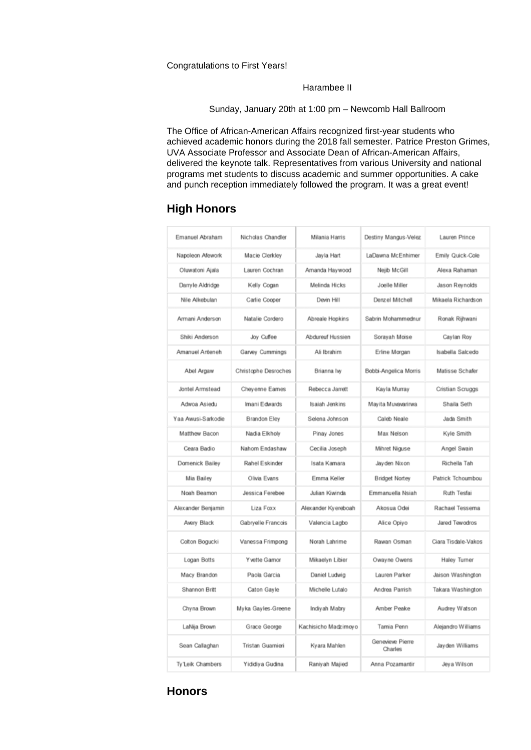Congratulations to First Years!

#### Harambee II

Sunday, January 20th at 1:00 pm – Newcomb Hall Ballroom

The Office of African-American Affairs recognized first-year students who achieved academic honors during the 2018 fall semester. Patrice Preston Grimes, UVA Associate Professor and Associate Dean of African-American Affairs, delivered the keynote talk. Representatives from various University and national programs met students to discuss academic and summer opportunities. A cake and punch reception immediately followed the program. It was a great event!

### **High Honors**

| Emanuel Abraham    | Nicholas Chandler    | Milania Harris       | Destiny Mangus-Velez        | Lauren Prince       |
|--------------------|----------------------|----------------------|-----------------------------|---------------------|
| Napoleon Afework   | Macie Clerkley       | Jayla Hart           | LaDawna McEnhimer           | Emily Quick-Cole    |
| Oluwatoni Ajala    | Lauren Cochran       | Amanda Havwood       | Nejib McGill                | Alexa Rahaman       |
| Darryle Aldridge   | Kelly Cogan          | Melinda Hicks        | Joelle Miller               | Jason Reynolds      |
| Nile Alkebulan     | Carlie Cooper        | Devin Hill           | Denzel Mitchell             | Mikaela Richardson  |
| Armani Anderson    | Natalie Cordero      | Abreale Hopkins      | Sabrin Mohammednur          | Ronak Rijhwani      |
| Shiki Anderson     | Joy Cuffee           | Abdureuf Hussien     | Sorayah Moise               | Caylan Roy          |
| Amanuel Anteneh    | Garvey Cummings      | Ali Ibrahim          | Erline Morgan               | Isabella Salcedo    |
| Abel Argaw         | Christophe Desroches | Brianna Iw           | Bobbi-Angelica Morris       | Matisse Schafer     |
| Jontel Armstead    | Cheyenne Eames       | Rebecca Jarrett      | Kayla Murray                | Cristian Scruggs    |
| Adwoa Asiedu       | Imani Edwards        | Isaiah Jenkins       | Mayita Muvavarirwa          | Shaila Seth         |
| Yaa Awusi-Sarkodie | Brandon Eley         | Selena Johnson       | Caleb Neale                 | Jada Smith          |
| Matthew Bacon      | Nadia Elkholy        | Pinay Jones          | Max Nelson                  | Kyle Smith          |
| Ceara Badio        | Nahom Endashaw       | Cecilia Joseph       | Mihret Niguse               | Angel Swain         |
| Domenick Bailey    | Rahel Eskinder       | Isata Kamara         | Jayden Nixon                | Richella Tah        |
| Mia Bailey         | Olivia Evans         | Emma Keller          | <b>Bridget Nortey</b>       | Patrick Tchoumbou   |
| Noah Beamon        | Jessica Ferebee      | Julian Kiwinda       | Emmanuella Nsiah            | Ruth Tesfai         |
| Alexander Benjamin | Liza Foxx            | Alexander Kyereboah  | Akosua Odei                 | Rachael Tessema     |
| Avery Black        | Gabryelle Francois   | Valencia Lagbo       | Alice Opiyo                 | Jared Tewodros      |
| Colton Bogucki     | Vanessa Frimpong     | Norah Lahrime        | Rawan Osman                 | Ciara Tisdale-Vakos |
| Logan Botts        | Y vette Gamor        | Mikaelyn Libier      | Owayne Owens                | Haley Turner        |
| Macy Brandon       | Paola Garcia         | Daniel Ludwig        | Lauren Parker               | Jaison Washington   |
| Shannon Britt      | Caton Gayle          | Michelle Lutalo      | Andrea Parrish              | Takara Washington   |
| Chyna Brown        | Myka Gayles-Greene   | Indiyah Mabry        | Amber Peake                 | Audrey Watson       |
| LaNija Brown       | Grace George         | Kachisicho Madzimoyo | Tamia Penn                  | Alejandro Williams  |
| Sean Callaghan     | Tristan Guarnieri    | Kyara Mahlen         | Genevieve Pierre<br>Charles | Jayden Williams     |
| Tv'Leik Chambers   | Yididiya Gudina      | Raniyah Majied       | Anna Pozamantir             | Jeva Wilson         |

### **Honors**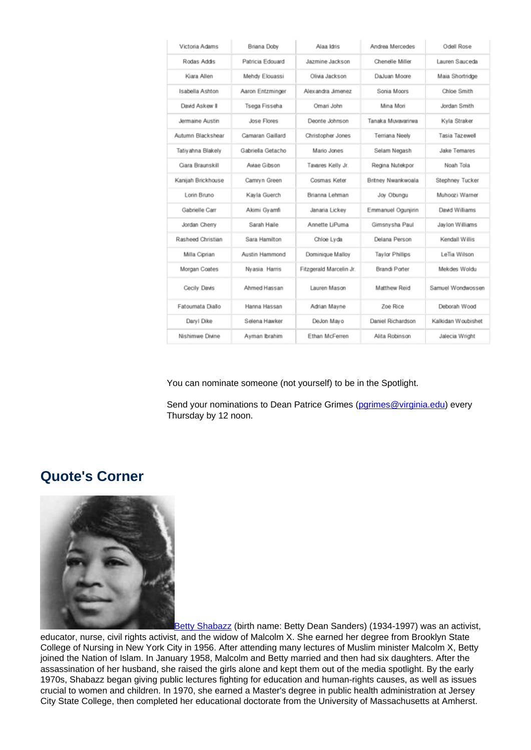| Victoria Adams     | Briana Doby       | Alaa Idris              | Andrea Mercedes        | Odell Rose          |
|--------------------|-------------------|-------------------------|------------------------|---------------------|
| Rodas Addis        | Patricia Edouard  | Jazmine Jackson         | Chenelle Miller        | Lauren Sauceda      |
| Kiara Allen        | Mehdy Elouassi    | Olivia Jackson          | DaJuan Moore           | Maia Shortridge     |
| Isabella Ashton    | Aaron Entzminger  | Alexandra Jimenez       | Sonia Moors            | Chloe Smith         |
| David Askew II     | Tsega Fisseha     | Omari John              | Mina Mori              | Jordan Smith        |
| Jermaine Austin    | Jose Flores       | Deonte Johnson          | Tanaka Muvavarirwa     | Kyla Straker        |
| Autumn Blackshear  | Camaran Gaillard  | Christopher Jones       | Terriana Neely         | Tasia Tazewell      |
| Tatiyahna Blakely  | Gabriella Getacho | Mario Jones             | Selam Negash           | <b>Jake Temares</b> |
| Ciara Braunskill   | Aviae Gibson      | Tavares Kelly Jr.       | Regina Nutekpor        | Noah Tola           |
| Kanijah Brickhouse | Camryn Green      | Cosmas Keter            | Britney Nwankwoala     | Stephney Tucker     |
| Lorin Bruno        | Kavla Guerch      | Brianna Lehman          | Joy Obungu             | Muhoozi Warner      |
| Gabrielle Carr     | Akimi Gyamfi      | Janaria Lickey          | Emmanuel Ogunjirin     | David Williams      |
| Jordan Cherry      | Sarah Haile       | Annette LiPuma          | Gimsnysha Paul         | Jaylon Williams     |
| Rasheed Christian  | Sara Hamilton     | Chloe Lyda              | Delana Person          | Kendall Willis      |
| Milla Ciprian      | Austin Hammond    | Dominique Malloy        | <b>Taylor Phillips</b> | LeTia Wilson        |
| Morgan Coates      | Nyasia Harris     | Fitzgerald Marcelin Jr. | Brandi Porter          | Mekdes Woldu        |
| Cecily Davis       | Ahmed Hassan      | Lauren Mason            | Matthew Reid           | Samuel Wondwossen   |
| Fatoumata Diallo   | Hanna Hassan      | Adrian Mayne            | Zoe Rice               | Deborah Wood        |
| Daryl Dike         | Selena Hawker     | DeJon Mayo              | Daniel Richardson      | Kalkidan Woubishet  |
| Nishimwe Divine    | Ayman Ibrahim     | Ethan McFerren          | Alita Robinson         | Jalecia Wright      |

You can nominate someone (not yourself) to be in the Spotlight.

Send your nominations to Dean Patrice Grimes (parimes@virginia.edu) every Thursday by 12 noon.

### **Quote's Corner**



Betty Shabazz (birth name: Betty Dean Sanders) (1934-1997) was an activist, educator, nurse, civil rights activist, and the widow of Malcolm X. She earned her degree from Brooklyn State College of Nursing in New York City in 1956. After attending many lectures of Muslim minister Malcolm X, Betty joined the Nation of Islam. In January 1958, Malcolm and Betty married and then had six daughters. After the assassination of her husband, she raised the girls alone and kept them out of the media spotlight. By the early 1970s, Shabazz began giving public lectures fighting for education and human-rights causes, as well as issues crucial to women and children. In 1970, she earned a Master's degree in public health administration at Jersey City State College, then completed her educational doctorate from the University of Massachusetts at Amherst.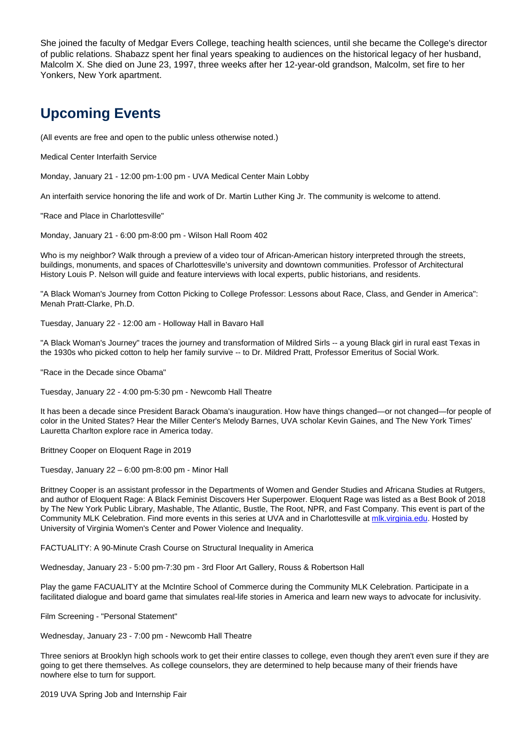She joined the faculty of Medgar Evers College, teaching health sciences, until she became the College's director of public relations. Shabazz spent her final years speaking to audiences on the historical legacy of her husband, Malcolm X. She died on June 23, 1997, three weeks after her 12-year-old grandson, Malcolm, set fire to her Yonkers, New York apartment.

# **Upcoming Events**

(All events are free and open to the public unless otherwise noted.)

Medical Center Interfaith Service

Monday, January 21 - 12:00 pm-1:00 pm - UVA Medical Center Main Lobby

An interfaith service honoring the life and work of Dr. Martin Luther King Jr. The community is welcome to attend.

"Race and Place in Charlottesville"

Monday, January 21 - 6:00 pm-8:00 pm - Wilson Hall Room 402

Who is my neighbor? Walk through a preview of a video tour of African-American history interpreted through the streets, buildings, monuments, and spaces of Charlottesville's university and downtown communities. Professor of Architectural History Louis P. Nelson will guide and feature interviews with local experts, public historians, and residents.

"A Black Woman's Journey from Cotton Picking to College Professor: Lessons about Race, Class, and Gender in America": Menah Pratt-Clarke, Ph.D.

Tuesday, January 22 - 12:00 am - Holloway Hall in Bavaro Hall

"A Black Woman's Journey" traces the journey and transformation of Mildred Sirls -- a young Black girl in rural east Texas in the 1930s who picked cotton to help her family survive -- to Dr. Mildred Pratt, Professor Emeritus of Social Work.

"Race in the Decade since Obama"

Tuesday, January 22 - 4:00 pm-5:30 pm - Newcomb Hall Theatre

It has been a decade since President Barack Obama's inauguration. How have things changed—or not changed—for people of color in the United States? Hear the Miller Center's Melody Barnes, UVA scholar Kevin Gaines, and The New York Times' Lauretta Charlton explore race in America today.

Brittney Cooper on Eloquent Rage in 2019

Tuesday, January 22 – 6:00 pm-8:00 pm - Minor Hall

Brittney Cooper is an assistant professor in the Departments of Women and Gender Studies and Africana Studies at Rutgers, and author of Eloquent Rage: A Black Feminist Discovers Her Superpower. Eloquent Rage was listed as a Best Book of 2018 by The New York Public Library, Mashable, The Atlantic, Bustle, The Root, NPR, and Fast Company. This event is part of the Community MLK Celebration. Find more events in this series at UVA and in Charlottesville at mlk.virginia.edu. Hosted by University of Virginia Women's Center and Power Violence and Inequality.

FACTUALITY: A 90-Minute Crash Course on Structural Inequality in America

Wednesday, January 23 - 5:00 pm-7:30 pm - 3rd Floor Art Gallery, Rouss & Robertson Hall

Play the game FACUALITY at the McIntire School of Commerce during the Community MLK Celebration. Participate in a facilitated dialogue and board game that simulates real-life stories in America and learn new ways to advocate for inclusivity.

Film Screening - "Personal Statement"

Wednesday, January 23 - 7:00 pm - Newcomb Hall Theatre

Three seniors at Brooklyn high schools work to get their entire classes to college, even though they aren't even sure if they are going to get there themselves. As college counselors, they are determined to help because many of their friends have nowhere else to turn for support.

2019 UVA Spring Job and Internship Fair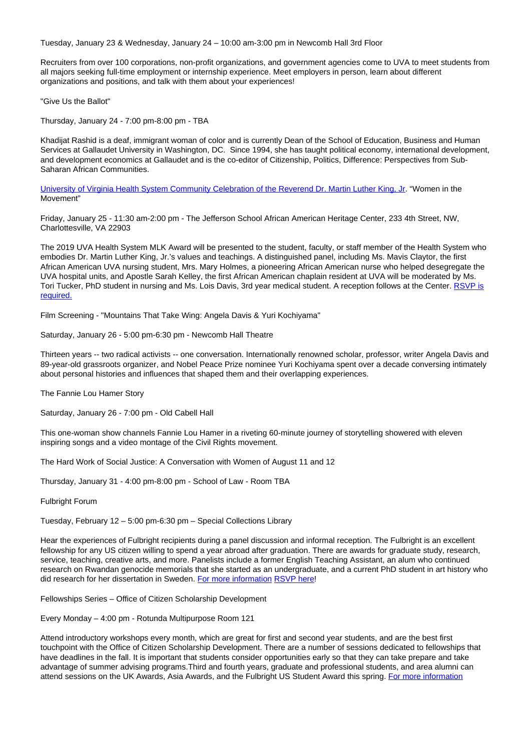Tuesday, January 23 & Wednesday, January 24 – 10:00 am-3:00 pm in Newcomb Hall 3rd Floor

Recruiters from over 100 corporations, non-profit organizations, and government agencies come to UVA to meet students from all majors seeking full-time employment or internship experience. Meet employers in person, learn about different organizations and positions, and talk with them about your experiences!

"Give Us the Ballot"

Thursday, January 24 - 7:00 pm-8:00 pm - TBA

Khadijat Rashid is a deaf, immigrant woman of color and is currently Dean of the School of Education, Business and Human Services at Gallaudet University in Washington, DC. Since 1994, she has taught political economy, international development, and development economics at Gallaudet and is the co-editor of Citizenship, Politics, Difference: Perspectives from Sub-Saharan African Communities.

University of Virginia Health System Community Celebration of the Reverend Dr. Martin Luther King, Jr. "Women in the Movement"

Friday, January 25 - 11:30 am-2:00 pm - The Jefferson School African American Heritage Center, 233 4th Street, NW, Charlottesville, VA 22903

The 2019 UVA Health System MLK Award will be presented to the student, faculty, or staff member of the Health System who embodies Dr. Martin Luther King, Jr.'s values and teachings. A distinguished panel, including Ms. Mavis Claytor, the first African American UVA nursing student, Mrs. Mary Holmes, a pioneering African American nurse who helped desegregate the UVA hospital units, and Apostle Sarah Kelley, the first African American chaplain resident at UVA will be moderated by Ms. Tori Tucker, PhD student in nursing and Ms. Lois Davis, 3rd year medical student. A reception follows at the Center. RSVP is required.

Film Screening - "Mountains That Take Wing: Angela Davis & Yuri Kochiyama"

Saturday, January 26 - 5:00 pm-6:30 pm - Newcomb Hall Theatre

Thirteen years -- two radical activists -- one conversation. Internationally renowned scholar, professor, writer Angela Davis and 89-year-old grassroots organizer, and Nobel Peace Prize nominee Yuri Kochiyama spent over a decade conversing intimately about personal histories and influences that shaped them and their overlapping experiences.

The Fannie Lou Hamer Story

Saturday, January 26 - 7:00 pm - Old Cabell Hall

This one-woman show channels Fannie Lou Hamer in a riveting 60-minute journey of storytelling showered with eleven inspiring songs and a video montage of the Civil Rights movement.

The Hard Work of Social Justice: A Conversation with Women of August 11 and 12

Thursday, January 31 - 4:00 pm-8:00 pm - School of Law - Room TBA

Fulbright Forum

Tuesday, February 12 – 5:00 pm-6:30 pm – Special Collections Library

Hear the experiences of Fulbright recipients during a panel discussion and informal reception. The Fulbright is an excellent fellowship for any US citizen willing to spend a year abroad after graduation. There are awards for graduate study, research, service, teaching, creative arts, and more. Panelists include a former English Teaching Assistant, an alum who continued research on Rwandan genocide memorials that she started as an undergraduate, and a current PhD student in art history who did research for her dissertation in Sweden. For more information RSVP here!

Fellowships Series – Office of Citizen Scholarship Development

Every Monday – 4:00 pm - Rotunda Multipurpose Room 121

Attend introductory workshops every month, which are great for first and second year students, and are the best first touchpoint with the Office of Citizen Scholarship Development. There are a number of sessions dedicated to fellowships that have deadlines in the fall. It is important that students consider opportunities early so that they can take prepare and take advantage of summer advising programs.Third and fourth years, graduate and professional students, and area alumni can attend sessions on the UK Awards, Asia Awards, and the Fulbright US Student Award this spring. For more information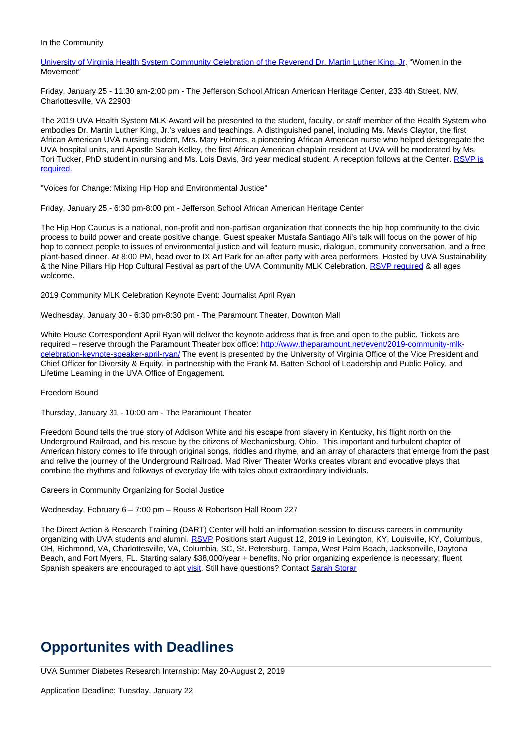#### In the Community

University of Virginia Health System Community Celebration of the Reverend Dr. Martin Luther King, Jr. "Women in the Movement"

Friday, January 25 - 11:30 am-2:00 pm - The Jefferson School African American Heritage Center, 233 4th Street, NW, Charlottesville, VA 22903

The 2019 UVA Health System MLK Award will be presented to the student, faculty, or staff member of the Health System who embodies Dr. Martin Luther King, Jr.'s values and teachings. A distinguished panel, including Ms. Mavis Claytor, the first African American UVA nursing student, Mrs. Mary Holmes, a pioneering African American nurse who helped desegregate the UVA hospital units, and Apostle Sarah Kelley, the first African American chaplain resident at UVA will be moderated by Ms. Tori Tucker, PhD student in nursing and Ms. Lois Davis, 3rd year medical student. A reception follows at the Center. RSVP is required.

"Voices for Change: Mixing Hip Hop and Environmental Justice"

Friday, January 25 - 6:30 pm-8:00 pm - Jefferson School African American Heritage Center

The Hip Hop Caucus is a national, non-profit and non-partisan organization that connects the hip hop community to the civic process to build power and create positive change. Guest speaker Mustafa Santiago Ali's talk will focus on the power of hip hop to connect people to issues of environmental justice and will feature music, dialogue, community conversation, and a free plant-based dinner. At 8:00 PM, head over to IX Art Park for an after party with area performers. Hosted by UVA Sustainability & the Nine Pillars Hip Hop Cultural Festival as part of the UVA Community MLK Celebration. RSVP required & all ages welcome.

2019 Community MLK Celebration Keynote Event: Journalist April Ryan

Wednesday, January 30 - 6:30 pm-8:30 pm - The Paramount Theater, Downton Mall

White House Correspondent April Ryan will deliver the keynote address that is free and open to the public. Tickets are required – reserve through the Paramount Theater box office: http://www.theparamount.net/event/2019-community-mlkcelebration-keynote-speaker-april-ryan/ The event is presented by the University of Virginia Office of the Vice President and Chief Officer for Diversity & Equity, in partnership with the Frank M. Batten School of Leadership and Public Policy, and Lifetime Learning in the UVA Office of Engagement.

Freedom Bound

Thursday, January 31 - 10:00 am - The Paramount Theater

Freedom Bound tells the true story of Addison White and his escape from slavery in Kentucky, his flight north on the Underground Railroad, and his rescue by the citizens of Mechanicsburg, Ohio. This important and turbulent chapter of American history comes to life through original songs, riddles and rhyme, and an array of characters that emerge from the past and relive the journey of the Underground Railroad. Mad River Theater Works creates vibrant and evocative plays that combine the rhythms and folkways of everyday life with tales about extraordinary individuals.

Careers in Community Organizing for Social Justice

Wednesday, February 6 – 7:00 pm – Rouss & Robertson Hall Room 227

The Direct Action & Research Training (DART) Center will hold an information session to discuss careers in community organizing with UVA students and alumni. RSVP Positions start August 12, 2019 in Lexington, KY, Louisville, KY, Columbus, OH, Richmond, VA, Charlottesville, VA, Columbia, SC, St. Petersburg, Tampa, West Palm Beach, Jacksonville, Daytona Beach, and Fort Myers, FL. Starting salary \$38,000/year + benefits. No prior organizing experience is necessary; fluent Spanish speakers are encouraged to apt visit. Still have questions? Contact Sarah Storar

# **Opportunites with Deadlines**

UVA Summer Diabetes Research Internship: May 20-August 2, 2019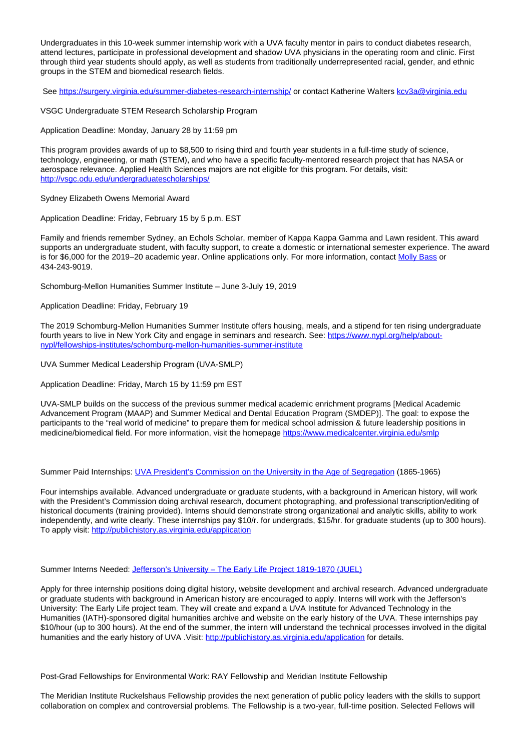Undergraduates in this 10-week summer internship work with a UVA faculty mentor in pairs to conduct diabetes research, attend lectures, participate in professional development and shadow UVA physicians in the operating room and clinic. First through third year students should apply, as well as students from traditionally underrepresented racial, gender, and ethnic groups in the STEM and biomedical research fields.

See https://surgery.virginia.edu/summer-diabetes-research-internship/ or contact Katherine Walters kcv3a@virginia.edu

VSGC Undergraduate STEM Research Scholarship Program

Application Deadline: Monday, January 28 by 11:59 pm

This program provides awards of up to \$8,500 to rising third and fourth year students in a full-time study of science, technology, engineering, or math (STEM), and who have a specific faculty-mentored research project that has NASA or aerospace relevance. Applied Health Sciences majors are not eligible for this program. For details, visit: http://vsgc.odu.edu/undergraduatescholarships/

Sydney Elizabeth Owens Memorial Award

Application Deadline: Friday, February 15 by 5 p.m. EST

Family and friends remember Sydney, an Echols Scholar, member of Kappa Kappa Gamma and Lawn resident. This award supports an undergraduate student, with faculty support, to create a domestic or international semester experience. The award is for \$6,000 for the 2019–20 academic year. Online applications only. For more information, contact Molly Bass or 434-243-9019.

Schomburg-Mellon Humanities Summer Institute – June 3-July 19, 2019

Application Deadline: Friday, February 19

The 2019 Schomburg-Mellon Humanities Summer Institute offers housing, meals, and a stipend for ten rising undergraduate fourth years to live in New York City and engage in seminars and research. See: https://www.nypl.org/help/aboutnypl/fellowships-institutes/schomburg-mellon-humanities-summer-institute

UVA Summer Medical Leadership Program (UVA-SMLP)

Application Deadline: Friday, March 15 by 11:59 pm EST

UVA-SMLP builds on the success of the previous summer medical academic enrichment programs [Medical Academic Advancement Program (MAAP) and Summer Medical and Dental Education Program (SMDEP)]. The goal: to expose the participants to the "real world of medicine" to prepare them for medical school admission & future leadership positions in medicine/biomedical field. For more information, visit the homepage https://www.medicalcenter.virginia.edu/smlp

Summer Paid Internships: UVA President's Commission on the University in the Age of Segregation (1865-1965)

Four internships available. Advanced undergraduate or graduate students, with a background in American history, will work with the President's Commission doing archival research, document photographing, and professional transcription/editing of historical documents (training provided). Interns should demonstrate strong organizational and analytic skills, ability to work independently, and write clearly. These internships pay \$10/r. for undergrads, \$15/hr. for graduate students (up to 300 hours). To apply visit: http://publichistory.as.virginia.edu/application

Summer Interns Needed: Jefferson's University - The Early Life Project 1819-1870 (JUEL)

Apply for three internship positions doing digital history, website development and archival research. Advanced undergraduate or graduate students with background in American history are encouraged to apply. Interns will work with the Jefferson's University: The Early Life project team. They will create and expand a UVA Institute for Advanced Technology in the Humanities (IATH)-sponsored digital humanities archive and website on the early history of the UVA. These internships pay \$10/hour (up to 300 hours). At the end of the summer, the intern will understand the technical processes involved in the digital humanities and the early history of UVA . Visit: http://publichistory.as.virginia.edu/application for details.

Post-Grad Fellowships for Environmental Work: RAY Fellowship and Meridian Institute Fellowship

The Meridian Institute Ruckelshaus Fellowship provides the next generation of public policy leaders with the skills to support collaboration on complex and controversial problems. The Fellowship is a two-year, full-time position. Selected Fellows will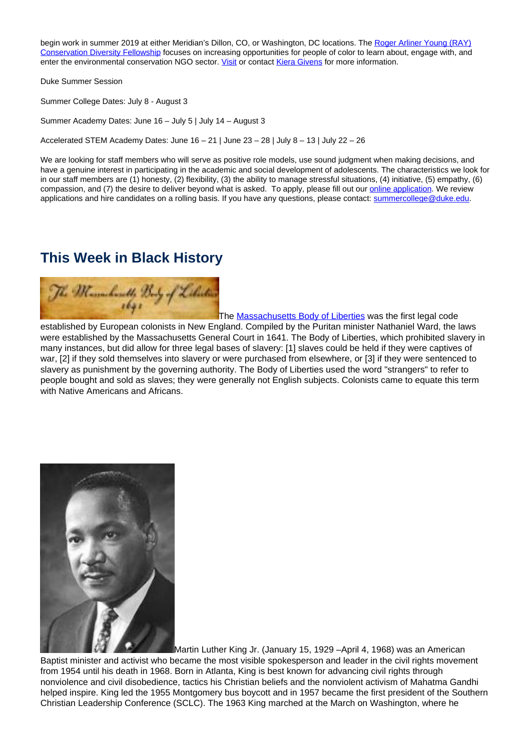begin work in summer 2019 at either Meridian's Dillon, CO, or Washington, DC locations. The Roger Arliner Young (RAY) Conservation Diversity Fellowship focuses on increasing opportunities for people of color to learn about, engage with, and enter the environmental conservation NGO sector. Visit or contact Kiera Givens for more information.

Duke Summer Session

Summer College Dates: July 8 - August 3

Summer Academy Dates: June 16 – July 5 | July 14 – August 3

Accelerated STEM Academy Dates: June  $16 - 21$  | June  $23 - 28$  | July  $8 - 13$  | July  $22 - 26$ 

We are looking for staff members who will serve as positive role models, use sound judgment when making decisions, and have a genuine interest in participating in the academic and social development of adolescents. The characteristics we look for in our staff members are (1) honesty, (2) flexibility, (3) the ability to manage stressful situations, (4) initiative, (5) empathy, (6) compassion, and (7) the desire to deliver beyond what is asked. To apply, please fill out our online application. We review applications and hire candidates on a rolling basis. If you have any questions, please contact: summercollege@duke.edu.

### **This Week in Black History**



The **Massachusetts Body of Liberties** was the first legal code established by European colonists in New England. Compiled by the Puritan minister Nathaniel Ward, the laws were established by the Massachusetts General Court in 1641. The Body of Liberties, which prohibited slavery in many instances, but did allow for three legal bases of slavery: [1] slaves could be held if they were captives of war, [2] if they sold themselves into slavery or were purchased from elsewhere, or [3] if they were sentenced to slavery as punishment by the governing authority. The Body of Liberties used the word "strangers" to refer to people bought and sold as slaves; they were generally not English subjects. Colonists came to equate this term with Native Americans and Africans.



Martin Luther King Jr. (January 15, 1929 –April 4, 1968) was an American Baptist minister and activist who became the most visible spokesperson and leader in the civil rights movement from 1954 until his death in 1968. Born in Atlanta, King is best known for advancing civil rights through nonviolence and civil disobedience, tactics his Christian beliefs and the nonviolent activism of Mahatma Gandhi helped inspire. King led the 1955 Montgomery bus boycott and in 1957 became the first president of the Southern Christian Leadership Conference (SCLC). The 1963 King marched at the March on Washington, where he